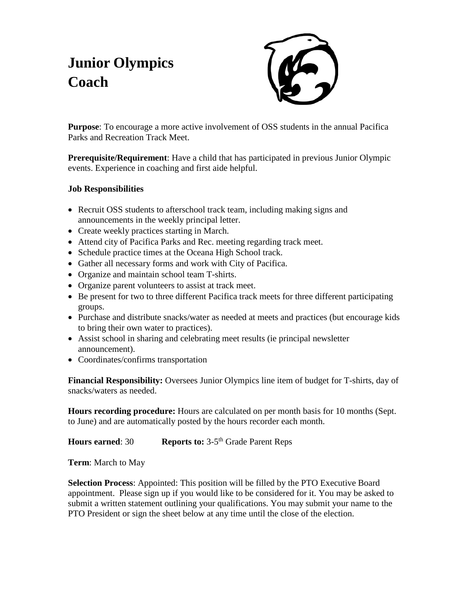## **Junior Olympics Coach**



**Purpose**: To encourage a more active involvement of OSS students in the annual Pacifica Parks and Recreation Track Meet.

**Prerequisite/Requirement**: Have a child that has participated in previous Junior Olympic events. Experience in coaching and first aide helpful.

## **Job Responsibilities**

- Recruit OSS students to afterschool track team, including making signs and announcements in the weekly principal letter.
- Create weekly practices starting in March.
- Attend city of Pacifica Parks and Rec. meeting regarding track meet.
- Schedule practice times at the Oceana High School track.
- Gather all necessary forms and work with City of Pacifica.
- Organize and maintain school team T-shirts.
- Organize parent volunteers to assist at track meet.
- Be present for two to three different Pacifica track meets for three different participating groups.
- Purchase and distribute snacks/water as needed at meets and practices (but encourage kids to bring their own water to practices).
- Assist school in sharing and celebrating meet results (ie principal newsletter announcement).
- Coordinates/confirms transportation

**Financial Responsibility:** Oversees Junior Olympics line item of budget for T-shirts, day of snacks/waters as needed.

**Hours recording procedure:** Hours are calculated on per month basis for 10 months (Sept. to June) and are automatically posted by the hours recorder each month.

## **Hours earned: 30 Reports to:** 3-5<sup>th</sup> Grade Parent Reps

**Term**: March to May

**Selection Process**: Appointed: This position will be filled by the PTO Executive Board appointment. Please sign up if you would like to be considered for it. You may be asked to submit a written statement outlining your qualifications. You may submit your name to the PTO President or sign the sheet below at any time until the close of the election.